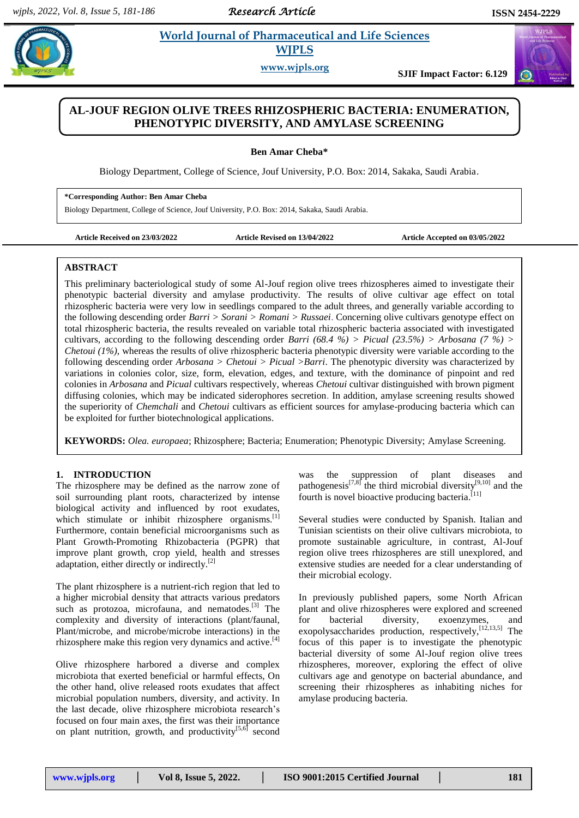# *Research Article*

# **World Journal of Pharmaceutical and Life Sciences WJPLS**

**www.wjpls.org SJIF Impact Factor: 6.129**

# **AL-JOUF REGION OLIVE TREES RHIZOSPHERIC BACTERIA: ENUMERATION, PHENOTYPIC DIVERSITY, AND AMYLASE SCREENING**

**Ben Amar Cheba\***

Biology Department, College of Science, Jouf University, P.O. Box: 2014, Sakaka, Saudi Arabia.

**\*Corresponding Author: Ben Amar Cheba**

Biology Department, College of Science, Jouf University, P.O. Box: 2014, Sakaka, Saudi Arabia.

**Article Received on 23/03/2022 Article Revised on 13/04/2022 Article Accepted on 03/05/2022**

### **ABSTRACT**

This preliminary bacteriological study of some Al-Jouf region olive trees rhizospheres aimed to investigate their phenotypic bacterial diversity and amylase productivity. The results of olive cultivar age effect on total rhizospheric bacteria were very low in seedlings compared to the adult threes, and generally variable according to the following descending order *Barri > Sorani > Romani > Russaei*. Concerning olive cultivars genotype effect on total rhizospheric bacteria, the results revealed on variable total rhizospheric bacteria associated with investigated cultivars, according to the following descending order *Barri (68.4 %) > Picual (23.5%) > Arbosana (7 %) > Chetoui (1%),* whereas the results of olive rhizospheric bacteria phenotypic diversity were variable according to the following descending order *Arbosana > Chetoui > Picual >Barri*. The phenotypic diversity was characterized by variations in colonies color, size, form, elevation, edges, and texture, with the dominance of pinpoint and red colonies in *Arbosana* and *Picual* cultivars respectively, whereas *Chetoui* cultivar distinguished with brown pigment diffusing colonies, which may be indicated siderophores secretion. In addition, amylase screening results showed the superiority of *Chemchali* and *Chetoui* cultivars as efficient sources for amylase-producing bacteria which can be exploited for further biotechnological applications.

**KEYWORDS:** *Olea. europaea*; Rhizosphere; Bacteria; Enumeration; Phenotypic Diversity; Amylase Screening.

### **1. INTRODUCTION**

The rhizosphere may be defined as the narrow zone of soil surrounding plant roots, characterized by intense biological activity and influenced by root exudates, which stimulate or inhibit rhizosphere organisms.<sup>[1]</sup> Furthermore, contain beneficial microorganisms such as Plant Growth-Promoting Rhizobacteria (PGPR) that improve plant growth, crop yield, health and stresses adaptation, either directly or indirectly. $[2]$ 

The plant rhizosphere is a nutrient-rich region that led to a higher microbial density that attracts various predators such as protozoa, microfauna, and nematodes.<sup>[3]</sup> The complexity and diversity of interactions (plant/faunal, Plant/microbe, and microbe/microbe interactions) in the rhizosphere make this region very dynamics and active.<sup>[4]</sup>

Olive rhizosphere harbored a diverse and complex microbiota that exerted beneficial or harmful effects, On the other hand, olive released roots exudates that affect microbial population numbers, diversity, and activity. In the last decade, olive rhizosphere microbiota research's focused on four main axes, the first was their importance on plant nutrition, growth, and productivity<sup>[5,6]</sup> second

was the suppression of plant diseases and pathogenesis<sup>[7,8]</sup> the third microbial diversity<sup>[9,10]</sup> and the fourth is novel bioactive producing bacteria.<sup>[11]</sup>

Several studies were conducted by Spanish. Italian and Tunisian scientists on their olive cultivars microbiota, to promote sustainable agriculture, in contrast, Al-Jouf region olive trees rhizospheres are still unexplored, and extensive studies are needed for a clear understanding of their microbial ecology.

In previously published papers, some North African plant and olive rhizospheres were explored and screened for bacterial diversity, exoenzymes, and exopolysaccharides production, respectively, [12,13,5] The focus of this paper is to investigate the phenotypic bacterial diversity of some Al-Jouf region olive trees rhizospheres, moreover, exploring the effect of olive cultivars age and genotype on bacterial abundance, and screening their rhizospheres as inhabiting niches for amylase producing bacteria.

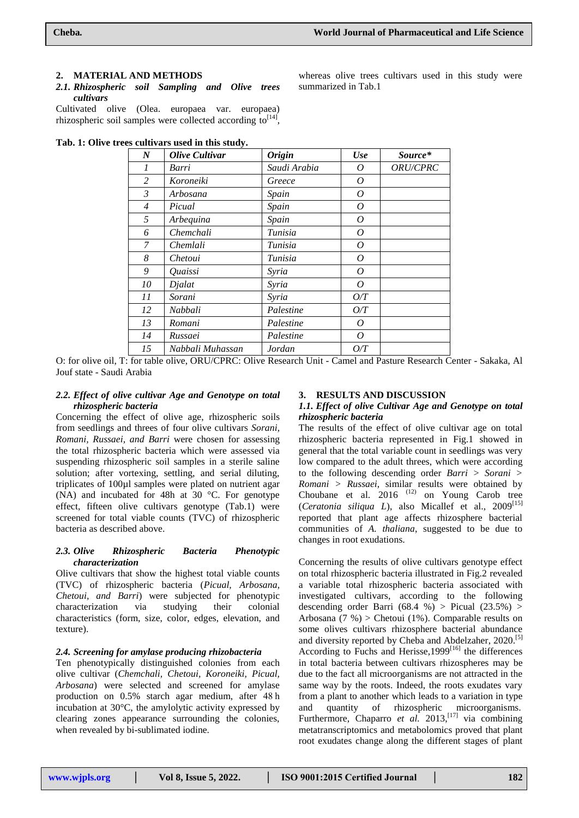### **2. MATERIAL AND METHODS**

*2.1. Rhizospheric soil Sampling and Olive trees cultivars*

Cultivated olive (Olea. europaea var. europaea) rhizospheric soil samples were collected according  $\text{to}^{\text{[14]}},$ 

**Tab. 1: Olive trees cultivars used in this study.**

| $\boldsymbol{N}$ | <b>Olive Cultivar</b> | <b>Origin</b> | Use   | Source*  |
|------------------|-----------------------|---------------|-------|----------|
| 1                | Barri                 | Saudi Arabia  | 0     | ORU/CPRC |
| $\overline{2}$   | Koroneiki             | Greece        | 0     |          |
| 3                | Arbosana              | Spain         | 0     |          |
| 4                | Picual                | Spain         | 0     |          |
| 5                | Arbequina             | Spain         | 0     |          |
| 6                | Chemchali             | Tunisia       | 0     |          |
| 7                | Chemlali              | Tunisia       | 0     |          |
| 8                | Chetoui               | Tunisia       | 0     |          |
| 9                | Quaissi               | Syria         | 0     |          |
| 10               | Djalat                | Syria         | O     |          |
| 11               | Sorani                | Syria         | $O/T$ |          |
| 12               | Nabbali               | Palestine     | $O/T$ |          |
| 13               | Romani                | Palestine     | 0     |          |
| 14               | Russaei               | Palestine     | 0     |          |
| 15               | Nabbali Muhassan      | Jordan        | O/T   |          |

O: for olive oil, T: for table olive, ORU/CPRC: Olive Research Unit - Camel and Pasture Research Center - Sakaka, Al Jouf state - Saudi Arabia

### *2.2. Effect of olive cultivar Age and Genotype on total rhizospheric bacteria*

Concerning the effect of olive age, rhizospheric soils from seedlings and threes of four olive cultivars *Sorani, Romani, Russaei, and Barri* were chosen for assessing the total rhizospheric bacteria which were assessed via suspending rhizospheric soil samples in a sterile saline solution; after vortexing, settling, and serial diluting, triplicates of 100µl samples were plated on nutrient agar (NA) and incubated for 48h at 30 °C. For genotype effect, fifteen olive cultivars genotype (Tab.1) were screened for total viable counts (TVC) of rhizospheric bacteria as described above.

### *2.3. Olive Rhizospheric Bacteria Phenotypic characterization*

Olive cultivars that show the highest total viable counts (TVC) of rhizospheric bacteria (*Picual, Arbosana, Chetoui, and Barri*) were subjected for phenotypic characterization via studying their colonial characteristics (form, size, color, edges, elevation, and texture).

#### *2.4. Screening for amylase producing rhizobacteria*

Ten phenotypically distinguished colonies from each olive cultivar (*Chemchali, Chetoui, Koroneiki, Picual, Arbosana*) were selected and screened for amylase production on 0.5% starch agar medium, after 48 h incubation at 30°C, the amylolytic activity expressed by clearing zones appearance surrounding the colonies, when revealed by bi-sublimated iodine.

#### **3. RESULTS AND DISCUSSION**

### *1.1. Effect of olive Cultivar Age and Genotype on total rhizospheric bacteria*

The results of the effect of olive cultivar age on total rhizospheric bacteria represented in Fig.1 showed in general that the total variable count in seedlings was very low compared to the adult threes, which were according to the following descending order *Barri > Sorani > Romani > Russaei*, similar results were obtained by Choubane et al.  $2016$ <sup> $(12)$ </sup> on Young Carob tree (*Ceratonia siliqua L*), also Micallef et al., 2009<sup>[15]</sup> reported that plant age affects rhizosphere bacterial communities of *A. thaliana*, suggested to be due to changes in root exudations.

Concerning the results of olive cultivars genotype effect on total rhizospheric bacteria illustrated in Fig.2 revealed a variable total rhizospheric bacteria associated with investigated cultivars, according to the following descending order Barri  $(68.4 %) > Picual (23.5%) >$ Arbosana (7 %) > Chetoui (1%). Comparable results on some olives cultivars rhizosphere bacterial abundance and diversity reported by Cheba and Abdelzaher, 2020. [5] According to Fuchs and Herisse, 1999<sup>[16]</sup> the differences in total bacteria between cultivars rhizospheres may be due to the fact all microorganisms are not attracted in the same way by the roots. Indeed, the roots exudates vary from a plant to another which leads to a variation in type and quantity of rhizospheric microorganisms. Furthermore, Chaparro *et al.* 2013,<sup>[17]</sup> via combining metatranscriptomics and metabolomics proved that plant root exudates change along the different stages of plant

whereas olive trees cultivars used in this study were summarized in Tab.1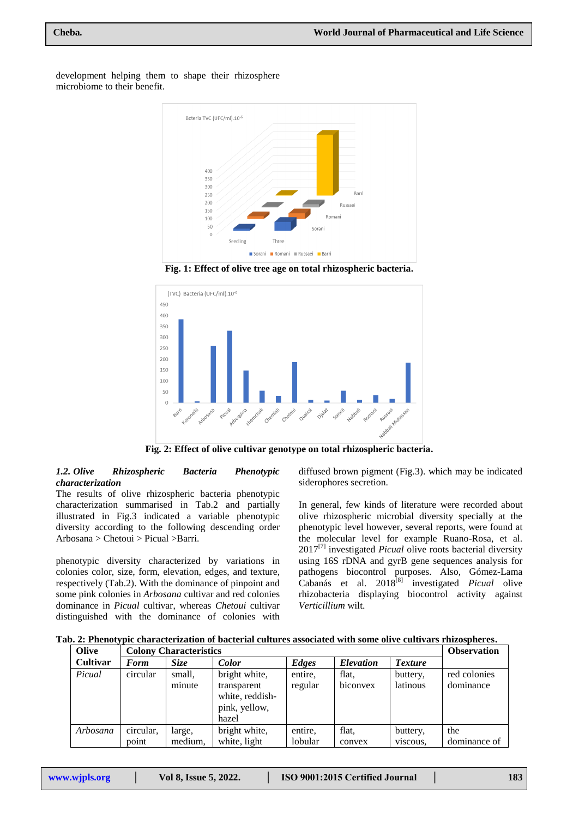

development helping them to shape their rhizosphere microbiome to their benefit.





**Fig. 2: Effect of olive cultivar genotype on total rhizospheric bacteria.**

### *1.2. Olive Rhizospheric Bacteria Phenotypic characterization*

The results of olive rhizospheric bacteria phenotypic characterization summarised in Tab.2 and partially illustrated in Fig.3 indicated a variable phenotypic diversity according to the following descending order Arbosana > Chetoui > Picual >Barri.

phenotypic diversity characterized by variations in colonies color, size, form, elevation, edges, and texture, respectively (Tab.2). With the dominance of pinpoint and some pink colonies in *Arbosana* cultivar and red colonies dominance in *Picual* cultivar, whereas *Chetoui* cultivar distinguished with the dominance of colonies with

diffused brown pigment (Fig.3). which may be indicated siderophores secretion.

In general, few kinds of literature were recorded about olive rhizospheric microbial diversity specially at the phenotypic level however, several reports, were found at the molecular level for example Ruano-Rosa, et al. 2017<sup>[7]</sup> investigated *Picual* olive roots bacterial diversity using 16S rDNA and gyrB gene sequences analysis for pathogens biocontrol purposes. Also, Gómez-Lama Cabanás et al. 2018[8] investigated *Picual* olive rhizobacteria displaying biocontrol activity against *Verticillium* wilt.

| Tab. 2: Phenotypic characterization of bacterial cultures associated with some olive cultivars rhizospheres. |  |  |  |  |  |  |  |  |
|--------------------------------------------------------------------------------------------------------------|--|--|--|--|--|--|--|--|
|--------------------------------------------------------------------------------------------------------------|--|--|--|--|--|--|--|--|

| Olive    | . .<br><b>Colony Characteristics</b> |         |                 |         |                  |                | <b>Observation</b> |
|----------|--------------------------------------|---------|-----------------|---------|------------------|----------------|--------------------|
| Cultivar | <b>Form</b>                          | Size    | <b>Color</b>    | Edges   | <b>Elevation</b> | <b>Texture</b> |                    |
| Picual   | circular                             | small,  | bright white,   | entire, | flat.            | buttery,       | red colonies       |
|          |                                      | minute  | transparent     | regular | biconvex         | latinous       | dominance          |
|          |                                      |         | white, reddish- |         |                  |                |                    |
|          |                                      |         | pink, yellow,   |         |                  |                |                    |
|          |                                      |         | hazel           |         |                  |                |                    |
| Arbosana | circular,                            | large,  | bright white,   | entire, | flat.            | buttery,       | the                |
|          | point                                | medium, | white, light    | lobular | convex           | viscous,       | dominance of       |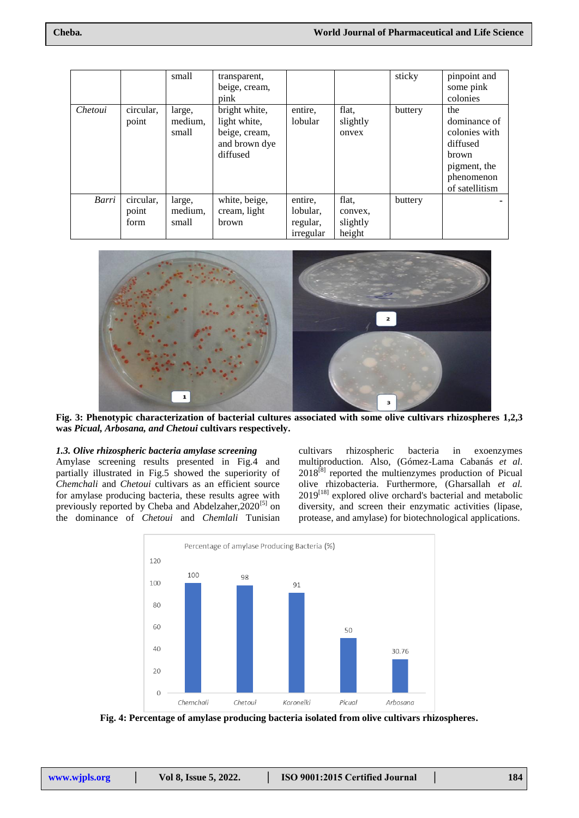|         |                            | small                      | transparent,<br>beige, cream,<br>pink                                       |                                              |                                        | sticky  | pinpoint and<br>some pink<br>colonies                                                                     |
|---------|----------------------------|----------------------------|-----------------------------------------------------------------------------|----------------------------------------------|----------------------------------------|---------|-----------------------------------------------------------------------------------------------------------|
| Chetoui | circular,<br>point         | large,<br>medium,<br>small | bright white,<br>light white,<br>beige, cream,<br>and brown dye<br>diffused | entire,<br>lobular                           | flat,<br>slightly<br>onvex             | buttery | the<br>dominance of<br>colonies with<br>diffused<br>brown<br>pigment, the<br>phenomenon<br>of satellitism |
| Barri   | circular,<br>point<br>form | large,<br>medium,<br>small | white, beige,<br>cream, light<br>brown                                      | entire,<br>lobular,<br>regular,<br>irregular | flat.<br>convex,<br>slightly<br>height | buttery |                                                                                                           |



**Fig. 3: Phenotypic characterization of bacterial cultures associated with some olive cultivars rhizospheres 1,2,3 was** *Picual, Arbosana, and Chetoui* **cultivars respectively.**

# *1.3. Olive rhizospheric bacteria amylase screening*

Amylase screening results presented in Fig.4 and partially illustrated in Fig.5 showed the superiority of *Chemchali* and *Chetoui* cultivars as an efficient source for amylase producing bacteria, these results agree with previously reported by Cheba and Abdelzaher, 2020<sup>[5]</sup> on the dominance of *Chetoui* and *Chemlali* Tunisian cultivars rhizospheric bacteria in exoenzymes multiproduction. Also, (Gómez-Lama Cabanás *et al*.  $2018^{[8]}$  reported the multienzymes production of Picual olive rhizobacteria. Furthermore, (Gharsallah *et al.*  $2019^{[18]}$  explored olive orchard's bacterial and metabolic diversity, and screen their enzymatic activities (lipase, protease, and amylase) for biotechnological applications.



**Fig. 4: Percentage of amylase producing bacteria isolated from olive cultivars rhizospheres.**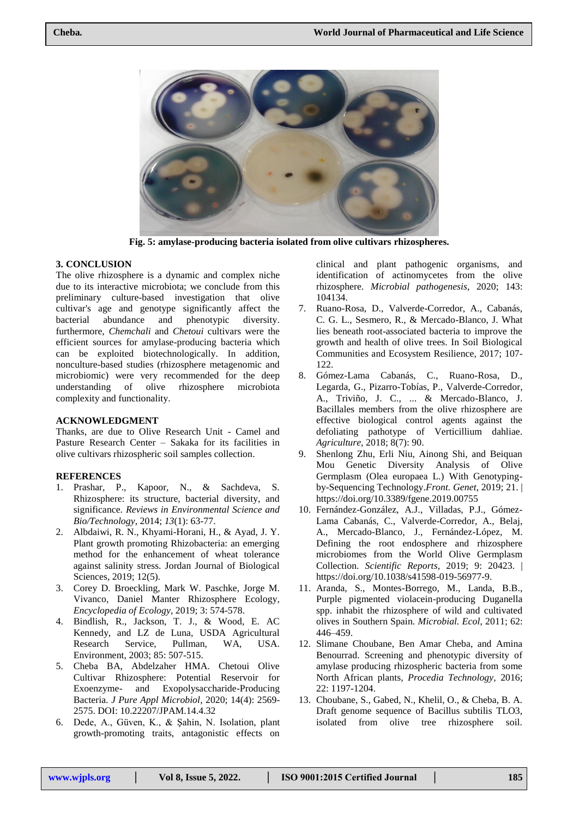

**Fig. 5: amylase-producing bacteria isolated from olive cultivars rhizospheres.**

# **3. CONCLUSION**

The olive rhizosphere is a dynamic and complex niche due to its interactive microbiota; we conclude from this preliminary culture-based investigation that olive cultivar's age and genotype significantly affect the bacterial abundance and phenotypic diversity. furthermore, *Chemchali* and *Chetoui* cultivars were the efficient sources for amylase-producing bacteria which can be exploited biotechnologically. In addition, nonculture-based studies (rhizosphere metagenomic and microbiomic) were very recommended for the deep understanding of olive rhizosphere microbiota complexity and functionality.

## **ACKNOWLEDGMENT**

Thanks, are due to Olive Research Unit - Camel and Pasture Research Center – Sakaka for its facilities in olive cultivars rhizospheric soil samples collection.

### **REFERENCES**

- 1. Prashar, P., Kapoor, N., & Sachdeva, S. Rhizosphere: its structure, bacterial diversity, and significance. *Reviews in Environmental Science and Bio/Technology*, 2014; *13*(1): 63-77.
- 2. Albdaiwi, R. N., Khyami-Horani, H., & Ayad, J. Y. Plant growth promoting Rhizobacteria: an emerging method for the enhancement of wheat tolerance against salinity stress. Jordan Journal of Biological Sciences, 2019; 12(5).
- 3. Corey D. Broeckling, Mark W. Paschke, Jorge M. Vivanco, Daniel Manter Rhizosphere Ecology*, Encyclopedia of Ecology*, 2019; 3: 574-578.
- 4. Bindlish, R., Jackson, T. J., & Wood, E. AC Kennedy, and LZ de Luna, USDA Agricultural Research Service, Pullman, WA, USA. Environment, 2003; 85: 507-515.
- 5. Cheba BA, Abdelzaher HMA. Chetoui Olive Cultivar Rhizosphere: Potential Reservoir for Exoenzyme- and Exopolysaccharide-Producing Bacteria. *J Pure Appl Microbiol*, 2020; 14(4): 2569- 2575. DOI: 10.22207/JPAM.14.4.32
- 6. Dede, A., Güven, K., & Sahin, N. Isolation, plant growth-promoting traits, antagonistic effects on

clinical and plant pathogenic organisms, and identification of actinomycetes from the olive rhizosphere. *Microbial pathogenesis*, 2020; 143: 104134.

- 7. Ruano-Rosa, D., Valverde-Corredor, A., Cabanás, C. G. L., Sesmero, R., & Mercado-Blanco, J. What lies beneath root-associated bacteria to improve the growth and health of olive trees. In Soil Biological Communities and Ecosystem Resilience, 2017; 107- 122.
- 8. Gómez-Lama Cabanás, C., Ruano-Rosa, D., Legarda, G., Pizarro-Tobías, P., Valverde-Corredor, A., Triviño, J. C., ... & Mercado-Blanco, J. Bacillales members from the olive rhizosphere are effective biological control agents against the defoliating pathotype of Verticillium dahliae. *Agriculture*, 2018; 8(7): 90.
- 9. Shenlong Zhu, Erli Niu, Ainong Shi, and Beiquan Mou Genetic Diversity Analysis of Olive Germplasm (Olea europaea L.) With Genotypingby-Sequencing Technology.*Front. Genet*, 2019; 21. | https://doi.org/10.3389/fgene.2019.00755
- 10. Fernández-González, A.J., Villadas, P.J., Gómez-Lama Cabanás, C., Valverde-Corredor, A., Belaj, A., Mercado-Blanco, J., Fernández-López, M. Defining the root endosphere and rhizosphere microbiomes from the World Olive Germplasm Collection. *Scientific Reports*, 2019; 9: 20423. | https://doi.org/10.1038/s41598-019-56977-9.
- 11. Aranda, S., Montes-Borrego, M., Landa, B.B., Purple pigmented violacein-producing Duganella spp. inhabit the rhizosphere of wild and cultivated olives in Southern Spain. *Microbial. Ecol*, 2011; 62: 446–459.
- 12. Slimane Choubane, Ben Amar Cheba, and Amina Benourrad. Screening and phenotypic diversity of amylase producing rhizospheric bacteria from some North African plants*, Procedia Technology*, 2016; 22: 1197-1204.
- 13. Choubane, S., Gabed, N., Khelil, O., & Cheba, B. A. Draft genome sequence of Bacillus subtilis TLO3, isolated from olive tree rhizosphere soil.